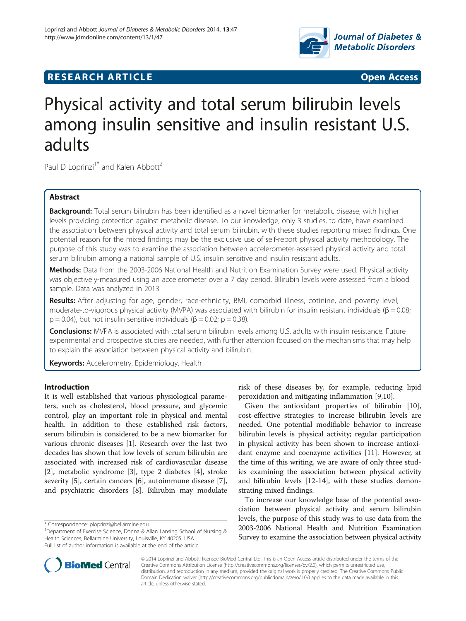

# **RESEARCH ARTICLE Example 2018 12:00 DEAR COPEN ACCESS**

# Physical activity and total serum bilirubin levels among insulin sensitive and insulin resistant U.S. adults

Paul D Loprinzi<sup>1\*</sup> and Kalen Abbott<sup>2</sup>

# Abstract

Background: Total serum bilirubin has been identified as a novel biomarker for metabolic disease, with higher levels providing protection against metabolic disease. To our knowledge, only 3 studies, to date, have examined the association between physical activity and total serum bilirubin, with these studies reporting mixed findings. One potential reason for the mixed findings may be the exclusive use of self-report physical activity methodology. The purpose of this study was to examine the association between accelerometer-assessed physical activity and total serum bilirubin among a national sample of U.S. insulin sensitive and insulin resistant adults.

Methods: Data from the 2003-2006 National Health and Nutrition Examination Survey were used. Physical activity was objectively-measured using an accelerometer over a 7 day period. Bilirubin levels were assessed from a blood sample. Data was analyzed in 2013.

Results: After adjusting for age, gender, race-ethnicity, BMI, comorbid illness, cotinine, and poverty level, moderate-to-vigorous physical activity (MVPA) was associated with bilirubin for insulin resistant individuals (β = 0.08;  $p = 0.04$ ), but not insulin sensitive individuals ( $\beta = 0.02$ ;  $p = 0.38$ ).

Conclusions: MVPA is associated with total serum bilirubin levels among U.S. adults with insulin resistance. Future experimental and prospective studies are needed, with further attention focused on the mechanisms that may help to explain the association between physical activity and bilirubin.

Keywords: Accelerometry, Epidemiology, Health

# Introduction

It is well established that various physiological parameters, such as cholesterol, blood pressure, and glycemic control, play an important role in physical and mental health. In addition to these established risk factors, serum bilirubin is considered to be a new biomarker for various chronic diseases [\[1](#page-4-0)]. Research over the last two decades has shown that low levels of serum bilirubin are associated with increased risk of cardiovascular disease [[2\]](#page-4-0), metabolic syndrome [[3\]](#page-4-0), type 2 diabetes [\[4\]](#page-4-0), stroke severity [\[5](#page-4-0)], certain cancers [\[6](#page-4-0)], autoimmune disease [\[7](#page-4-0)], and psychiatric disorders [[8\]](#page-4-0). Bilirubin may modulate

risk of these diseases by, for example, reducing lipid peroxidation and mitigating inflammation [[9](#page-4-0),[10](#page-4-0)].

Given the antioxidant properties of bilirubin [\[10](#page-4-0)], cost-effective strategies to increase bilirubin levels are needed. One potential modifiable behavior to increase bilirubin levels is physical activity; regular participation in physical activity has been shown to increase antioxidant enzyme and coenzyme activities [\[11](#page-4-0)]. However, at the time of this writing, we are aware of only three studies examining the association between physical activity and bilirubin levels [\[12](#page-4-0)-[14\]](#page-4-0), with these studies demonstrating mixed findings.

To increase our knowledge base of the potential association between physical activity and serum bilirubin levels, the purpose of this study was to use data from the 2003-2006 National Health and Nutrition Examination Survey to examine the association between physical activity



© 2014 Loprinzi and Abbott; licensee BioMed Central Ltd. This is an Open Access article distributed under the terms of the Creative Commons Attribution License (<http://creativecommons.org/licenses/by/2.0>), which permits unrestricted use, distribution, and reproduction in any medium, provided the original work is properly credited. The Creative Commons Public Domain Dedication waiver [\(http://creativecommons.org/publicdomain/zero/1.0/\)](http://creativecommons.org/publicdomain/zero/1.0/) applies to the data made available in this article, unless otherwise stated.

<sup>\*</sup> Correspondence: [ploprinzi@bellarmine.edu](mailto:ploprinzi@bellarmine.edu) <sup>1</sup>

<sup>&</sup>lt;sup>1</sup>Department of Exercise Science, Donna & Allan Lansing School of Nursing & Health Sciences, Bellarmine University, Louisville, KY 40205, USA Full list of author information is available at the end of the article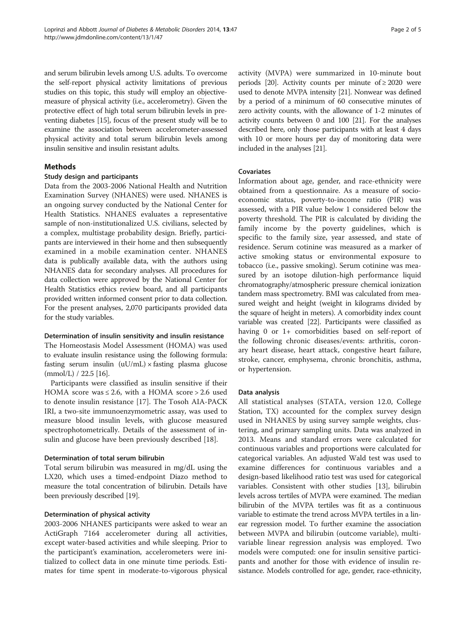and serum bilirubin levels among U.S. adults. To overcome the self-report physical activity limitations of previous studies on this topic, this study will employ an objectivemeasure of physical activity (i.e., accelerometry). Given the protective effect of high total serum bilirubin levels in preventing diabetes [\[15\]](#page-4-0), focus of the present study will be to examine the association between accelerometer-assessed physical activity and total serum bilirubin levels among insulin sensitive and insulin resistant adults.

# Methods

#### Study design and participants

Data from the 2003-2006 National Health and Nutrition Examination Survey (NHANES) were used. NHANES is an ongoing survey conducted by the National Center for Health Statistics. NHANES evaluates a representative sample of non-institutionalized U.S. civilians, selected by a complex, multistage probability design. Briefly, participants are interviewed in their home and then subsequently examined in a mobile examination center. NHANES data is publically available data, with the authors using NHANES data for secondary analyses. All procedures for data collection were approved by the National Center for Health Statistics ethics review board, and all participants provided written informed consent prior to data collection. For the present analyses, 2,070 participants provided data for the study variables.

# Determination of insulin sensitivity and insulin resistance

The Homeostasis Model Assessment (HOMA) was used to evaluate insulin resistance using the following formula: fasting serum insulin  $(uU/mL) \times$  fasting plasma glucose  $(mmol/L) / 22.5$  [[16](#page-4-0)].

Participants were classified as insulin sensitive if their HOMA score was  $\leq 2.6$ , with a HOMA score > 2.6 used to denote insulin resistance [[17](#page-4-0)]. The Tosoh AIA-PACK IRI, a two-site immunoenzymometric assay, was used to measure blood insulin levels, with glucose measured spectrophotometrically. Details of the assessment of insulin and glucose have been previously described [[18](#page-4-0)].

# Determination of total serum bilirubin

Total serum bilirubin was measured in mg/dL using the LX20, which uses a timed-endpoint Diazo method to measure the total concentration of bilirubin. Details have been previously described [\[19](#page-4-0)].

# Determination of physical activity

2003-2006 NHANES participants were asked to wear an ActiGraph 7164 accelerometer during all activities, except water-based activities and while sleeping. Prior to the participant's examination, accelerometers were initialized to collect data in one minute time periods. Estimates for time spent in moderate-to-vigorous physical activity (MVPA) were summarized in 10-minute bout periods [[20](#page-4-0)]. Activity counts per minute of  $\geq 2020$  were used to denote MVPA intensity [[21\]](#page-4-0). Nonwear was defined by a period of a minimum of 60 consecutive minutes of zero activity counts, with the allowance of 1-2 minutes of activity counts between 0 and 100 [[21](#page-4-0)]. For the analyses described here, only those participants with at least 4 days with 10 or more hours per day of monitoring data were included in the analyses [\[21\]](#page-4-0).

# Covariates

Information about age, gender, and race-ethnicity were obtained from a questionnaire. As a measure of socioeconomic status, poverty-to-income ratio (PIR) was assessed, with a PIR value below 1 considered below the poverty threshold. The PIR is calculated by dividing the family income by the poverty guidelines, which is specific to the family size, year assessed, and state of residence. Serum cotinine was measured as a marker of active smoking status or environmental exposure to tobacco (i.e., passive smoking). Serum cotinine was measured by an isotope dilution-high performance liquid chromatography/atmospheric pressure chemical ionization tandem mass spectrometry. BMI was calculated from measured weight and height (weight in kilograms divided by the square of height in meters). A comorbidity index count variable was created [\[22\]](#page-4-0). Participants were classified as having 0 or 1+ comorbidities based on self-report of the following chronic diseases/events: arthritis, coronary heart disease, heart attack, congestive heart failure, stroke, cancer, emphysema, chronic bronchitis, asthma, or hypertension.

# Data analysis

All statistical analyses (STATA, version 12.0, College Station, TX) accounted for the complex survey design used in NHANES by using survey sample weights, clustering, and primary sampling units. Data was analyzed in 2013. Means and standard errors were calculated for continuous variables and proportions were calculated for categorical variables. An adjusted Wald test was used to examine differences for continuous variables and a design-based likelihood ratio test was used for categorical variables. Consistent with other studies [\[13](#page-4-0)], bilirubin levels across tertiles of MVPA were examined. The median bilirubin of the MVPA tertiles was fit as a continuous variable to estimate the trend across MVPA tertiles in a linear regression model. To further examine the association between MVPA and bilirubin (outcome variable), multivariable linear regression analysis was employed. Two models were computed: one for insulin sensitive participants and another for those with evidence of insulin resistance. Models controlled for age, gender, race-ethnicity,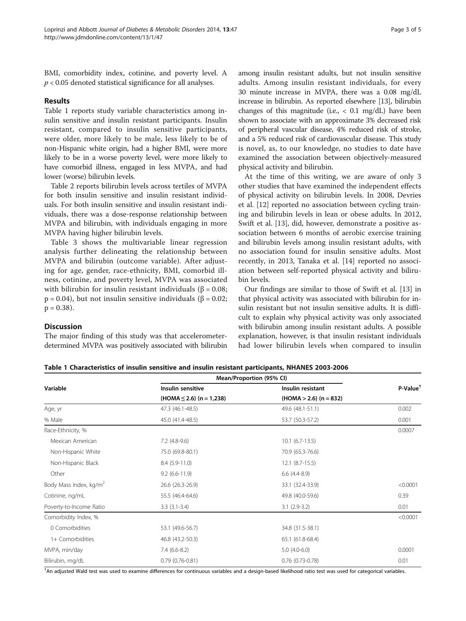BMI, comorbidity index, cotinine, and poverty level. A  $p < 0.05$  denoted statistical significance for all analyses.

#### Results

Table 1 reports study variable characteristics among insulin sensitive and insulin resistant participants. Insulin resistant, compared to insulin sensitive participants, were older, more likely to be male, less likely to be of non-Hispanic white origin, had a higher BMI, were more likely to be in a worse poverty level, were more likely to have comorbid illness, engaged in less MVPA, and had lower (worse) bilirubin levels.

Table [2](#page-3-0) reports bilirubin levels across tertiles of MVPA for both insulin sensitive and insulin resistant individuals. For both insulin sensitive and insulin resistant individuals, there was a dose-response relationship between MVPA and bilirubin, with individuals engaging in more MVPA having higher bilirubin levels.

Table [3](#page-3-0) shows the multivariable linear regression analysis further delineating the relationship between MVPA and bilirubin (outcome variable). After adjusting for age, gender, race-ethnicity, BMI, comorbid illness, cotinine, and poverty level, MVPA was associated with bilirubin for insulin resistant individuals ( $\beta = 0.08$ ;  $p = 0.04$ ), but not insulin sensitive individuals ( $\beta = 0.02$ ;  $p = 0.38$ ).

among insulin resistant adults, but not insulin sensitive adults. Among insulin resistant individuals, for every 30 minute increase in MVPA, there was a 0.08 mg/dL increase in bilirubin. As reported elsewhere [[13](#page-4-0)], bilirubin changes of this magnitude (i.e.,  $\langle 0.1 \text{ mg/dL} \rangle$  have been shown to associate with an approximate 3% decreased risk of peripheral vascular disease, 4% reduced risk of stroke, and a 5% reduced risk of cardiovascular disease. This study is novel, as, to our knowledge, no studies to date have examined the association between objectively-measured physical activity and bilirubin.

At the time of this writing, we are aware of only 3 other studies that have examined the independent effects of physical activity on bilirubin levels. In 2008, Devries et al. [\[12\]](#page-4-0) reported no association between cycling training and bilirubin levels in lean or obese adults. In 2012, Swift et al. [[13](#page-4-0)], did, however, demonstrate a positive association between 6 months of aerobic exercise training and bilirubin levels among insulin resistant adults, with no association found for insulin sensitive adults. Most recently, in 2013, Tanaka et al. [[14\]](#page-4-0) reported no association between self-reported physical activity and bilirubin levels.

Our findings are similar to those of Swift et al. [\[13](#page-4-0)] in that physical activity was associated with bilirubin for insulin resistant but not insulin sensitive adults. It is difficult to explain why physical activity was only associated with bilirubin among insulin resistant adults. A possible explanation, however, is that insulin resistant individuals had lower bilirubin levels when compared to insulin

# **Discussion**

The major finding of this study was that accelerometerdetermined MVPA was positively associated with bilirubin

Table 1 Characteristics of insulin sensitive and insulin resistant participants, NHANES 2003-2006

|                                    | Mean/Proportion (95% CI)      |                          |                     |
|------------------------------------|-------------------------------|--------------------------|---------------------|
| Variable                           | Insulin sensitive             | Insulin resistant        | $P-Value^{\dagger}$ |
|                                    | $(HOMA \leq 2.6)$ (n = 1,238) | $(HOMA > 2.6)$ (n = 832) |                     |
| Age, yr                            | 47.3 (46.1-48.5)              | 49.6 (48.1-51.1)         | 0.002               |
| % Male                             | 45.0 (41.4-48.5)              | 53.7 (50.3-57.2)         | 0.001               |
| Race-Ethnicity, %                  |                               |                          | 0.0007              |
| Mexican American                   | $7.2$ (4.8-9.6)               | $10.1$ (6.7-13.5)        |                     |
| Non-Hispanic White                 | 75.0 (69.8-80.1)              | 70.9 (65.3-76.6)         |                     |
| Non-Hispanic Black                 | $8.4(5.9-11.0)$               | $12.1 (8.7 - 15.5)$      |                     |
| Other                              | $9.2(6.6-11.9)$               | $6.6$ $(4.4-8.9)$        |                     |
| Body Mass Index, kg/m <sup>2</sup> | 26.6 (26.3-26.9)              | 33.1 (32.4-33.9)         | < 0.0001            |
| Cotinine, ng/mL                    | 55.5 (46.4-64.6)              | 49.8 (40.0-59.6)         | 0.39                |
| Poverty-to-Income Ratio            | $3.3(3.1-3.4)$                | $3.1(2.9-3.2)$           | 0.01                |
| Comorbidity Index, %               |                               |                          | < 0.0001            |
| 0 Comorbidities                    | 53.1 (49.6-56.7)              | 34.8 (31.5-38.1)         |                     |
| 1+ Comorbidities                   | 46.8 (43.2-50.3)              | 65.1 (61.8-68.4)         |                     |
| MVPA, min/day                      | $7.4(6.6-8.2)$                | $5.0(4.0-6.0)$           | 0.0001              |
| Bilirubin, mg/dL                   | $0.79(0.76 - 0.81)$           | $0.76$ (0.73-0.78)       | 0.01                |

† An adjusted Wald test was used to examine differences for continuous variables and a design-based likelihood ratio test was used for categorical variables.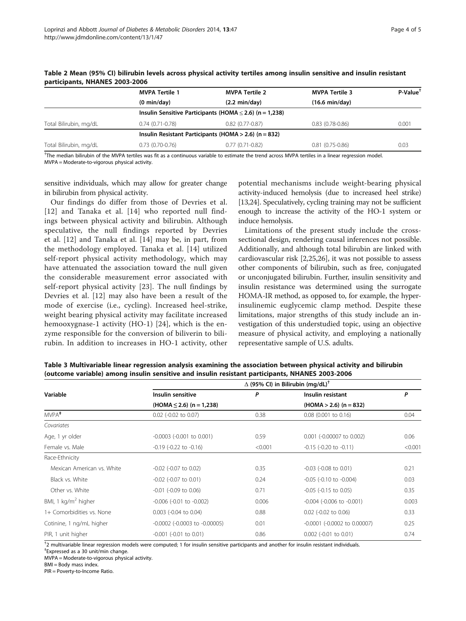|                        | <b>MVPA Tertile 1</b>                                   | <b>MVPA Tertile 2</b>                                        | <b>MVPA Tertile 3</b>    | P-Value <sup>+</sup> |  |  |
|------------------------|---------------------------------------------------------|--------------------------------------------------------------|--------------------------|----------------------|--|--|
|                        | $(0 \text{ min/day})$                                   | $(2.2 \text{ min/day})$                                      | $(16.6 \text{ min/day})$ |                      |  |  |
|                        |                                                         | Insulin Sensitive Participants (HOMA $\leq$ 2.6) (n = 1,238) |                          |                      |  |  |
| Total Bilirubin, mg/dL | $0.74(0.71-0.78)$                                       | $0.82(0.77-0.87)$                                            | $0.83(0.78-0.86)$        | 0.001                |  |  |
|                        | Insulin Resistant Participants (HOMA $>$ 2.6) (n = 832) |                                                              |                          |                      |  |  |
| Total Bilirubin, mg/dL | $0.73(0.70-0.76)$                                       | $0.77(0.71-0.82)$                                            | $0.81(0.75-0.86)$        | 0.03                 |  |  |

<span id="page-3-0"></span>Table 2 Mean (95% CI) bilirubin levels across physical activity tertiles among insulin sensitive and insulin resistant participants, NHANES 2003-2006

† The median bilirubin of the MVPA tertiles was fit as a continuous variable to estimate the trend across MVPA tertiles in a linear regression model. MVPA = Moderate-to-vigorous physical activity.

sensitive individuals, which may allow for greater change in bilirubin from physical activity.

Our findings do differ from those of Devries et al. [[12](#page-4-0)] and Tanaka et al. [[14\]](#page-4-0) who reported null findings between physical activity and bilirubin. Although speculative, the null findings reported by Devries et al. [\[12\]](#page-4-0) and Tanaka et al. [[14\]](#page-4-0) may be, in part, from the methodology employed. Tanaka et al. [[14](#page-4-0)] utilized self-report physical activity methodology, which may have attenuated the association toward the null given the considerable measurement error associated with self-report physical activity [\[23](#page-4-0)]. The null findings by Devries et al. [\[12\]](#page-4-0) may also have been a result of the mode of exercise (i.e., cycling). Increased heel-strike, weight bearing physical activity may facilitate increased hemooxygnase-1 activity (HO-1) [\[24](#page-4-0)], which is the enzyme responsible for the conversion of biliverin to bilirubin. In addition to increases in HO-1 activity, other potential mechanisms include weight-bearing physical activity-induced hemolysis (due to increased heel strike) [[13,24\]](#page-4-0). Speculatively, cycling training may not be sufficient enough to increase the activity of the HO-1 system or induce hemolysis.

Limitations of the present study include the crosssectional design, rendering causal inferences not possible. Additionally, and although total bilirubin are linked with cardiovascular risk [\[2,25,26\]](#page-4-0), it was not possible to assess other components of bilirubin, such as free, conjugated or unconjugated bilirubin. Further, insulin sensitivity and insulin resistance was determined using the surrogate HOMA-IR method, as opposed to, for example, the hyperinsulinemic euglycemic clamp method. Despite these limitations, major strengths of this study include an investigation of this understudied topic, using an objective measure of physical activity, and employing a nationally representative sample of U.S. adults.

| Variable                      | $\Delta$ (95% CI) in Bilirubin (mg/dL) <sup>†</sup> |         |                                      |         |  |  |
|-------------------------------|-----------------------------------------------------|---------|--------------------------------------|---------|--|--|
|                               | Insulin sensitive                                   | P       | Insulin resistant                    | P       |  |  |
|                               | $(HOMA \leq 2.6)$ (n = 1,238)                       |         | $(HOMA > 2.6)$ (n = 832)             |         |  |  |
| MVPA <sup>#</sup>             | 0.02 (-0.02 to 0.07)                                | 0.38    | $0.08$ (0.001 to 0.16)               | 0.04    |  |  |
| Covariates                    |                                                     |         |                                      |         |  |  |
| Age, 1 yr older               | $-0.0003$ ( $-0.001$ to $0.001$ )                   | 0.59    | 0.001 (-0.00007 to 0.002)            | 0.06    |  |  |
| Female vs. Male               | $-0.19$ $(-0.22$ to $-0.16)$                        | < 0.001 | $-0.15$ ( $-0.20$ to $-0.11$ )       | < 0.001 |  |  |
| Race-Ethnicity                |                                                     |         |                                      |         |  |  |
| Mexican American vs. White    | $-0.02$ ( $-0.07$ to 0.02)                          | 0.35    | $-0.03$ ( $-0.08$ to $0.01$ )        | 0.21    |  |  |
| Black vs. White               | $-0.02$ ( $-0.07$ to 0.01)                          | 0.24    | $-0.05$ ( $-0.10$ to $-0.004$ )      | 0.03    |  |  |
| Other vs. White               | $-0.01$ ( $-0.09$ to 0.06)                          | 0.71    | $-0.05$ ( $-0.15$ to 0.05)           | 0.35    |  |  |
| BMI, 1 $\text{kg/m}^2$ higher | $-0.006$ ( $-0.01$ to $-0.002$ )                    | 0.006   | $-0.004$ ( $-0.006$ to $-0.001$ )    | 0.003   |  |  |
| 1+ Comorbidities vs. None     | $0.003$ (-0.04 to 0.04)                             | 0.88    | $0.02$ (-0.02 to 0.06)               | 0.33    |  |  |
| Cotinine, 1 ng/mL higher      | $-0.0002$ ( $-0.0003$ to $-0.00005$ )               | 0.01    | $-0.0001$ ( $-0.0002$ to $0.00007$ ) | 0.25    |  |  |
| PIR, 1 unit higher            | $-0.001$ $(-0.01$ to $0.01)$                        | 0.86    | $0.002$ (-0.01 to 0.01)              | 0.74    |  |  |

Table 3 Multivariable linear regression analysis examining the association between physical activity and bilirubin (outcome variable) among insulin sensitive and insulin resistant participants, NHANES 2003-2006

† 2 multivariable linear regression models were computed; 1 for insulin sensitive participants and another for insulin resistant individuals.

‡ Expressed as a 30 unit/min change.

MVPA = Moderate-to-vigorous physical activity.

BMI = Body mass index.

PIR = Poverty-to-Income Ratio.